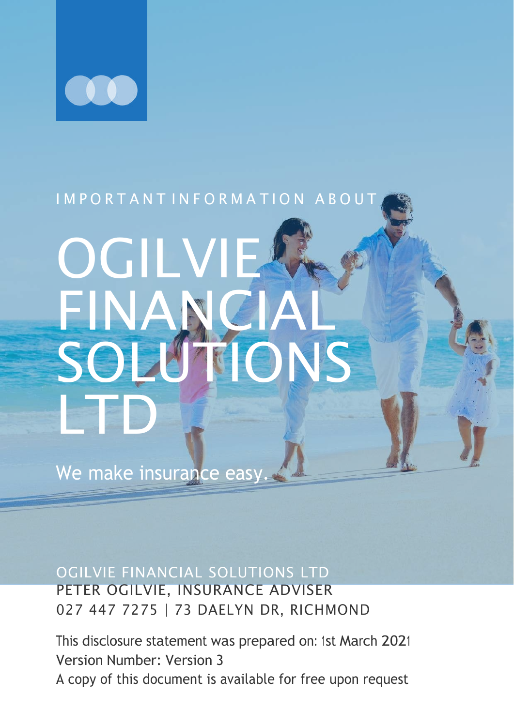

#### I M P O R T A N T I N F O R M A T I O N A B O U T

# OGILVIE FINANC SOLUTIONS LTD

We make insurance easy.

OGILVIE FINANCIAL SOLUTIONS LTD PETER OGILVIE, INSURANCE ADVISER

027 447 7275 | 73 DAELYN DR, RICHMOND

This disclosure statement was prepared on: 1st March 2021 Version Number: Version 3 A copy of this document is available for free upon request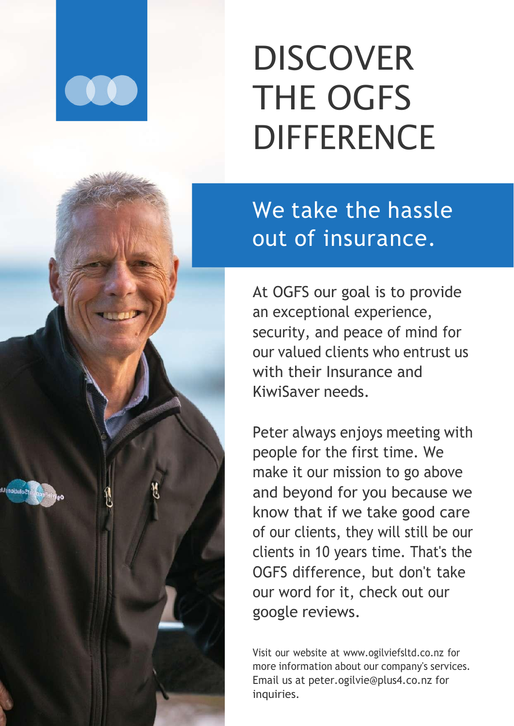

## **DISCOVER** THE OGFS **DIFFERENCE**

We take the hassle out of insurance.

At OGFS our goal is to provide an exceptional experience, security, and peace of mind for our valued clients who entrust us with their Insurance and KiwiSaver needs.

Peter always enjoys meeting with people for the first time. We make it our mission to go above and beyond for you because we know that if we take good care of our clients, they will still be our clients in 10 years time. That's the OGFS difference, but don't take our word for it, check out our google reviews.

Visit our website at [www.ogilviefsltd.co.nz](http://www.ogilviefsltd.co.nz/) for more information about our company's services. Email us at [peter.ogilvie@plus4.co.nz f](mailto:peter.ogilvie@plus4.co.nz)or inquiries.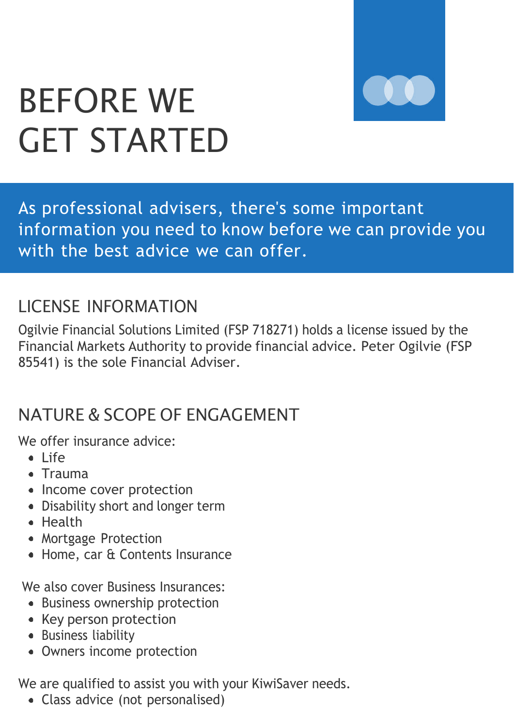

### BEFORE WE GET STARTED

As professional advisers, there's some important information you need to know before we can provide you with the best advice we can offer.

#### LICENSE INFORMATION

Ogilvie Financial Solutions Limited (FSP 718271) holds a license issued by the Financial Markets Authority to provide financial advice. Peter Ogilvie (FSP 85541) is the sole Financial Adviser.

#### NATURE & SCOPE OF ENGAGEMENT

We offer insurance advice:

- $\bullet$  life
- Trauma
- Income cover protection
- Disability short and longer term
- Health
- Mortgage Protection
- Home, car & Contents Insurance

We also cover Business Insurances:

- Business ownership protection
- Key person protection
- Business liability
- Owners income protection

We are qualified to assist you with your KiwiSaver needs.

Class advice (not personalised)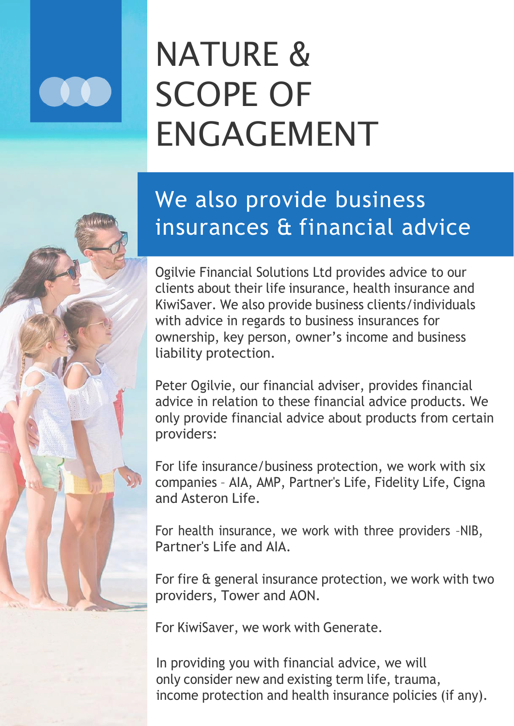## NATURE & SCOPE OF ENGAGEMENT

#### We also provide business insurances & financial advice

Ogilvie Financial Solutions Ltd provides advice to our clients about their life insurance, health insurance and KiwiSaver. We also provide business clients/individuals with advice in regards to business insurances for ownership, key person, owner's income and business liability protection.

Peter Ogilvie, our financial adviser, provides financial advice in relation to these financial advice products. We only provide financial advice about products from certain providers:

For life insurance/business protection, we work with six companies – AIA, AMP, Partner's Life, Fidelity Life, Cigna and Asteron Life.

For health insurance, we work with three providers –NIB, Partner's Life and AIA.

For fire & general insurance protection, we work with two providers, Tower and AON.

For KiwiSaver, we work with Generate.

In providing you with financial advice, we will only consider new and existing term life, trauma, income protection and health insurance policies (if any).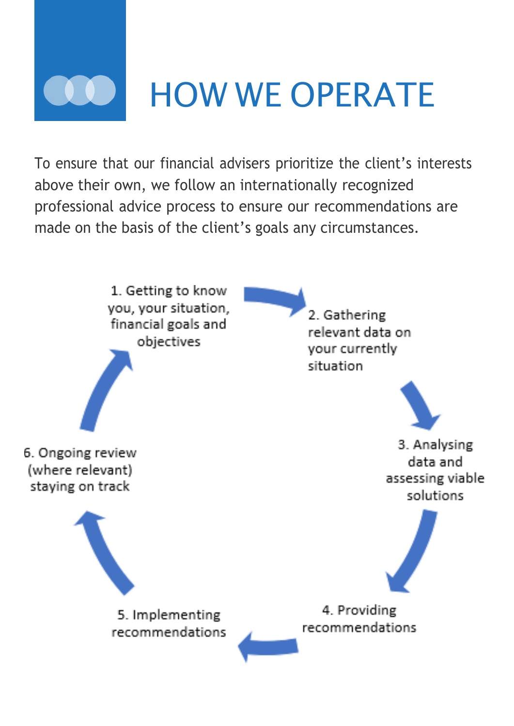

To ensure that our financial advisers prioritize the client's interests above their own, we follow an internationally recognized professional advice process to ensure our recommendations are made on the basis of the client's goals any circumstances.

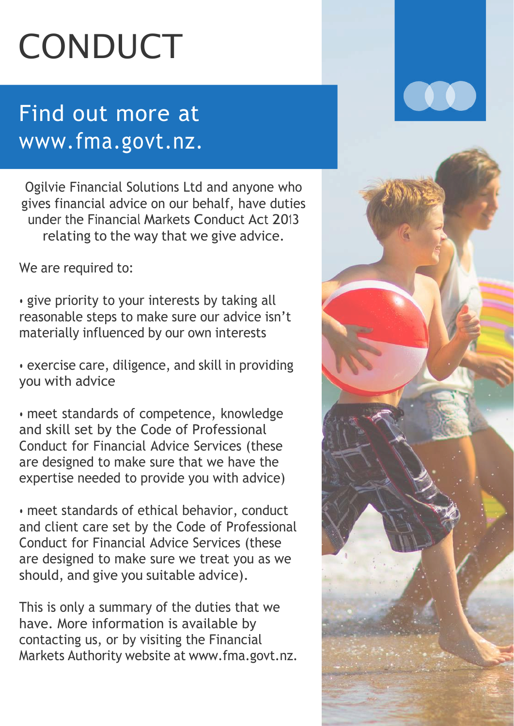## CONDUCT

#### Find out more at www.fma.govt.nz.

Ogilvie Financial Solutions Ltd and anyone who gives financial advice on our behalf, have duties under the Financial Markets Conduct Act 2013 relating to the way that we give advice.

We are required to:

• give priority to your interests by taking all reasonable steps to make sure our advice isn't materially influenced by our own interests

• exercise care, diligence, and skill in providing you with advice

• meet standards of competence, knowledge and skill set by the Code of Professional Conduct for Financial Advice Services (these are designed to make sure that we have the expertise needed to provide you with advice)

• meet standards of ethical behavior, conduct and client care set by the Code of Professional Conduct for Financial Advice Services (these are designed to make sure we treat you as we should, and give you suitable advice).

This is only a summary of the duties that we have. More information is available by contacting us, or by visiting the Financial Markets Authority website at [www.fma.govt.nz.](http://www.fma.govt.nz/)

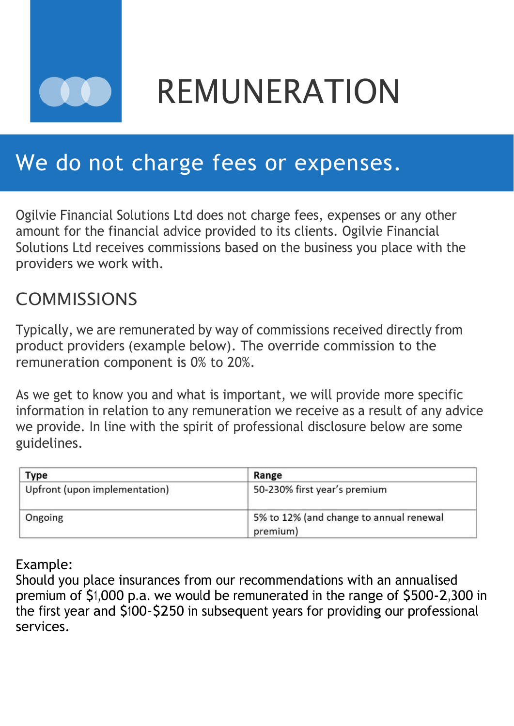

REMUNERATION

#### We do not charge fees or expenses.

Ogilvie Financial Solutions Ltd does not charge fees, expenses or any other amount for the financial advice provided to its clients. Ogilvie Financial Solutions Ltd receives commissions based on the business you place with the providers we work with.

#### **COMMISSIONS**

Typically, we are remunerated by way of commissions received directly from product providers (example below). The override commission to the remuneration component is 0% to 20%.

As we get to know you and what is important, we will provide more specific information in relation to any remuneration we receive as a result of any advice we provide. In line with the spirit of professional disclosure below are some guidelines.

| Type                          | Range                                               |
|-------------------------------|-----------------------------------------------------|
| Upfront (upon implementation) | 50-230% first year's premium                        |
| Ongoing                       | 5% to 12% (and change to annual renewal<br>premium) |

#### Example:

Should you place insurances from our recommendations with an annualised premium of \$1,000 p.a. we would be remunerated in the range of \$500-2,300 in the first year and \$100-\$250 in subsequent years for providing our professional services.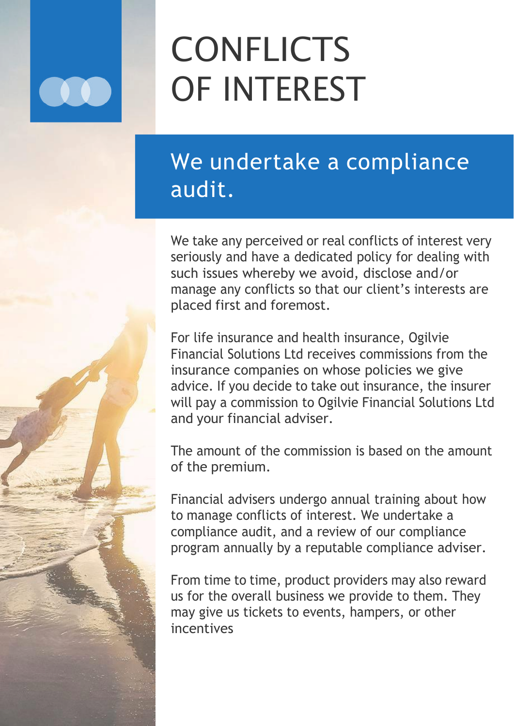## **CONFLICTS** OF INTEREST

#### We undertake a compliance audit.

We take any perceived or real conflicts of interest very seriously and have a dedicated policy for dealing with such issues whereby we avoid, disclose and/or manage any conflicts so that our client's interests are placed first and foremost.

For life insurance and health insurance, Ogilvie Financial Solutions Ltd receives commissions from the insurance companies on whose policies we give advice. If you decide to take out insurance, the insurer will pay a commission to Ogilvie Financial Solutions Ltd and your financial adviser.

The amount of the commission is based on the amount of the premium.

Financial advisers undergo annual training about how to manage conflicts of interest. We undertake a compliance audit, and a review of our compliance program annually by a reputable compliance adviser.

From time to time, product providers may also reward us for the overall business we provide to them. They may give us tickets to events, hampers, or other incentives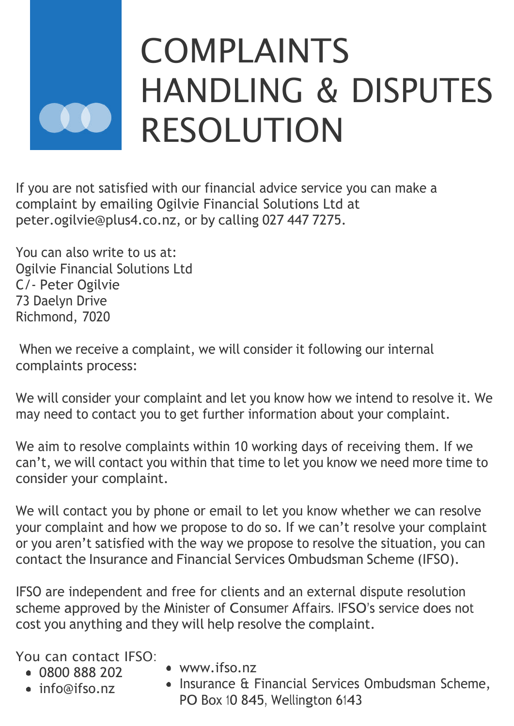## COMPLAINTS HANDLING & DISPUTES RESOLUTION

If you are not satisfied with our financial advice service you can make a complaint by emailing Ogilvie Financial Solutions Ltd at [peter.ogilvie@plus4.co.nz,](mailto:peter.ogilvie@plus4.co.nz) or by calling 027 447 7275.

You can also write to us at: Ogilvie Financial Solutions Ltd C/- Peter Ogilvie 73 Daelyn Drive Richmond, 7020

When we receive a complaint, we will consider it following our internal complaints process:

We will consider your complaint and let you know how we intend to resolve it. We may need to contact you to get further information about your complaint.

We aim to resolve complaints within 10 working days of receiving them. If we can't, we will contact you within that time to let you know we need more time to consider your complaint.

We will contact you by phone or email to let you know whether we can resolve your complaint and how we propose to do so. If we can't resolve your complaint or you aren't satisfied with the way we propose to resolve the situation, you can contact the Insurance and Financial Services Ombudsman Scheme (IFSO).

IFSO are independent and free for clients and an external dispute resolution scheme approved by the Minister of Consumer Affairs. IFSO's service does not cost you anything and they will help resolve the complaint.

You can contact IFSO:

- 0800 888 202
- [info@ifso.nz](mailto:info@ifso.nz)
- [www.ifso.nz](http://www.ifso.nz/)
- Insurance & Financial Services Ombudsman Scheme, PO Box 10 845, Wellington 6143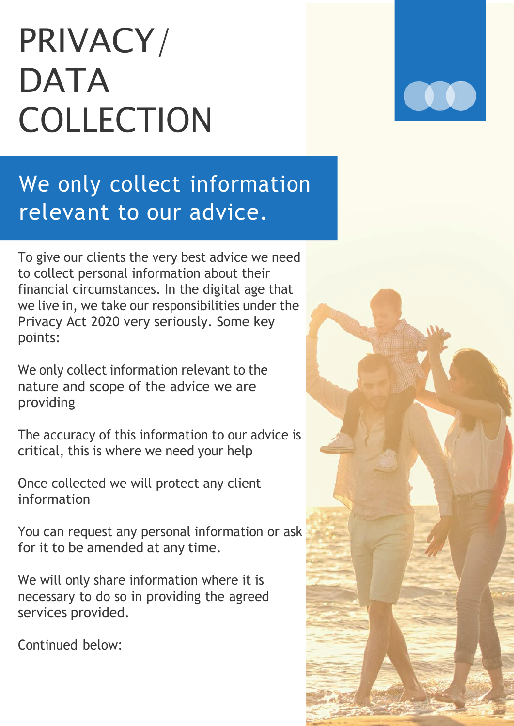## PRIVACY/ DATA COLLECTION

We only collect information relevant to our advice.

To give our clients the very best advice we need to collect personal information about their financial circumstances. In the digital age that we live in, we take our responsibilities under the Privacy Act 2020 very seriously. Some key points:

We only collect information relevant to the nature and scope of the advice we are providing

The accuracy of this information to our advice is critical, this is where we need your help

Once collected we will protect any client information

You can request any personal information or ask for it to be amended at any time.

We will only share information where it is necessary to do so in providing the agreed services provided.

Continued below: